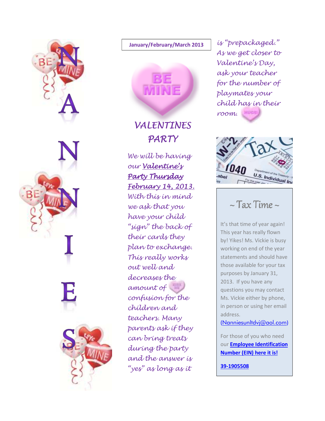

#### **January/February/March 2013**



# VALENTINES PARTY

We will be having our Valentine's Party Thursday February 14, 2013. 14, 2013. With this in mind we ask that you have your child "sign" the back of their cards they plan to exchange. This really works out well and decreases the amount of confusion for the children and teachers. Many parents ask if they can bring treats during the party and the answer is "yes" as long as it

is "prepackaged." As we get closer to Valentine's Day, ask your teacher for the number of playmates your child has in their room.



# $\sim$  Tax Time  $\sim$

It's that time of year again! This year has really flown by! Yikes! Ms. Vickie is busy working on end of the year statements and should have those available for your tax purposes by January 31, 2013. If you have any questions you may contact Ms. Vickie either by phone, in person or using her email address.

(Nanniesunltdvj@aol.com)

For those of you who need our **Employee Identification Number (EIN) here it is!** 

**39-1905508**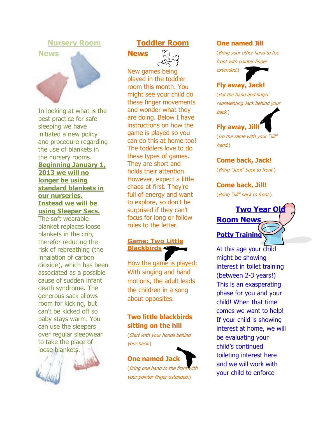### **Nursery Room**



In looking at what is the best practice for safe sleeping we have initiated a new policy and procedure regarding the use of blankets in the nursery rooms. **Beginning January 1, 2013 we will no longer be using standard blankets in our nurseries. Instead we will be using Sleeper Sacs.**

The soft wearable blanket replaces loose blankets in the crib, therefor reducing the risk of rebreathing (the inhalation of carbon dioxide), which has been associated as a possible cause of sudden infant death syndrome. The generous sack allows room for kicking, but can't be kicked off so baby stays warm. You can use the sleepers over regular sleepwear to take the place of loose blankets.



# **Toddler Room**





New games being played in the toddler room this month. You might see your child do these finger movements and wonder what they are doing. Below I have instructions on how the game is played so you can do this at home too! The toddlers love to do these types of games. They are short and holds their attention. However, expect a little chaos at first. They're full of energy and want to explore, so don't be surprised if they can't focus for long or follow rules to the letter.

### **Game: Two Little Blackbirds**

How the game is played: With singing and hand motions, the adult leads the children in a song about opposites.

# **Two little blackbirds sitting on the hill**

(Start with your hands behind your back.)

# **One named Jack**

(Bring one hand to the front with your pointer finger extended.)

#### **One named Jill**

(Bring your other hand to the front with pointer finger extended.)

# **Fly away, Jack!**

(Put the hand and finger representing Jack behind your back.)

# **Fly away, Jill!**

(Do the same with your "Jill" hand.)

#### **Come back, Jack!**

(Bring "Jack" back to front.)

#### **Come back, Jill!**

(Bring "Jill" back to front.)



At this age your child might be showing interest in toilet training (between 2-3 years!) This is an exasperating phase for you and your child! When that time comes we want to help! If your child is showing interest at home, we will be evaluating your child's continued toileting interest here and we will work with your child to enforce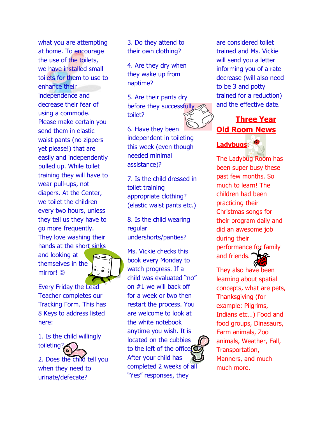what you are attempting at home. To encourage the use of the toilets, we have installed small toilets for them to use to enhance their independence and decrease their fear of using a commode. Please make certain you send them in elastic waist pants (no zippers yet please!) that are easily and independently pulled up. While toilet training they will have to wear pull-ups, not diapers. At the Center, we toilet the children every two hours, unless they tell us they have to go more frequently. They love washing their hands at the short sinks

and looking at themselves in the mirror! ©



Every Friday the Lead Teacher completes our Tracking Form. This has 8 Keys to address listed here:

1. Is the child willingly toileting?

2. Does the child tell you when they need to urinate/defecate?

3. Do they attend to their own clothing?

4. Are they dry when they wake up from naptime?

5. Are their pants dry before they successfully toilet?

6. Have they been independent in toileting this week (even though needed minimal assistance)?

7. Is the child dressed in toilet training appropriate clothing? (elastic waist pants etc.)

8. Is the child wearing regular undershorts/panties?

Ms. Vickie checks this book every Monday to watch progress. If a child was evaluated "no" on #1 we will back off for a week or two then restart the process. You are welcome to look at the white notebook anytime you wish. It is located on the cubbies to the left of the office<sup>(C</sup> After your child has completed 2 weeks of all "Yes" responses, they

are considered toilet trained and Ms. Vickie will send you a letter informing you of a rate decrease (will also need to be 3 and potty trained for a reduction) and the effective date.



The Ladybug Room has been super busy these past few months. So much to learn! The children had been practicing their Christmas songs for their program daily and did an awesome job during their performance for family and friends.

They also have been learning about spatial concepts, what are pets, Thanksgiving (for example: Pilgrims, Indians etc…) Food and food groups, Dinasaurs, Farm animals, Zoo animals, Weather, Fall, Transportation, Manners, and much much more.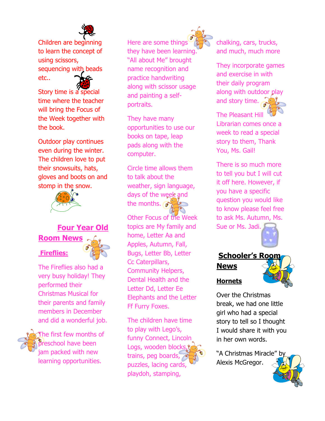

Children are beginning to learn the concept of using scissors, sequencing with beads etc..

Story time is a special time where the teacher will bring the Focus of the Week together with the book.

Outdoor play continues even during the winter. The children love to put their snowsuits, hats, gloves and boots on and stomp in the snow.



# **Four Year Old Room News Fireflies:**



The Fireflies also had a very busy holiday! They performed their Christmas Musical for their parents and family members in December and did a wonderful job.

The first few months of **Breschool have been** jam packed with new learning opportunities.

Here are some things they have been learning. "All about Me" brought name recognition and practice handwriting along with scissor usage and painting a selfportraits.

They have many opportunities to use our books on tape, leap pads along with the computer.

Circle time allows them to talk about the weather, sign language, days of the week and the months.  $\bullet$ 

Other Focus of the Week topics are My family and home, Letter Aa and Apples, Autumn, Fall, Bugs, Letter Bb, Letter Cc Caterpillars, Community Helpers, Dental Health and the Letter Dd, Letter Ee Elephants and the Letter Ff Furry Foxes.

The children have time to play with Lego's, funny Connect, Lincoln Logs, wooden blocks, trains, peg boards, puzzles, lacing cards, playdoh, stamping,



chalking, cars, trucks, and much, much more

They incorporate games and exercise in with their daily program along with outdoor play and story time.

The Pleasant Hill Librarian comes once a week to read a special story to them, Thank You, Ms. Gail!

There is so much more to tell you but I will cut it off here. However, if you have a specific question you would like to know please feel free to ask Ms. Autumn, Ms. Sue or Ms. Jadi.



# **Schooler's Roo News**

# **Hornets**

Over the Christmas break, we had one little girl who had a special story to tell so I thought I would share it with you in her own words.

"A Christmas Miracle" Alexis McGregor.

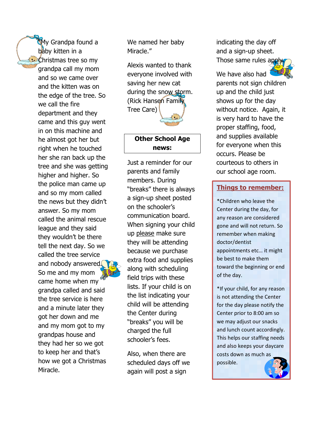"My Grandpa found a baby kitten in a **Christmas tree so my** grandpa call my mom and so we came over and the kitten was on the edge of the tree. So we call the fire department and they came and this guy went in on this machine and he almost got her but right when he touched her she ran back up the tree and she was getting higher and higher. So the police man came up and so my mom called the news but they didn't answer. So my mom called the animal rescue league and they said they wouldn't be there tell the next day. So we called the tree service and nobody answered. So me and my mom came home when my grandpa called and said the tree service is here and a minute later they got her down and me and my mom got to my grandpas house and they had her so we got to keep her and that's how we got a Christmas Miracle.



Alexis wanted to thank everyone involved with saving her new cat during the snow storm. (Rick Hansen Family Tree Care)

## **Other School Age news:**

Just a reminder for our parents and family members. During "breaks" there is always a sign-up sheet posted on the schooler's communication board. When signing your child up please make sure they will be attending because we purchase extra food and supplies along with scheduling field trips with these lists. If your child is on the list indicating your child will be attending the Center during "breaks" you will be charged the full schooler's fees.

Also, when there are scheduled days off we again will post a sign

indicating the day off and a sign-up sheet. Those same rules app



We have also had parents not sign children up and the child just shows up for the day without notice. Again, it is very hard to have the proper staffing, food, and supplies available for everyone when this occurs. Please be courteous to others in our school age room.

# **Things to remember:**

\*Children who leave the Center during the day, for any reason are considered gone and will not return. So remember when making doctor/dentist appointments etc… it might be best to make them toward the beginning or end of the day.

\*If your child, for any reason is not attending the Center for the day please notify the Center prior to 8:00 am so we may adjust our snacks and lunch count accordingly. This helps our staffing needs and also keeps your daycare costs down as much as possible.